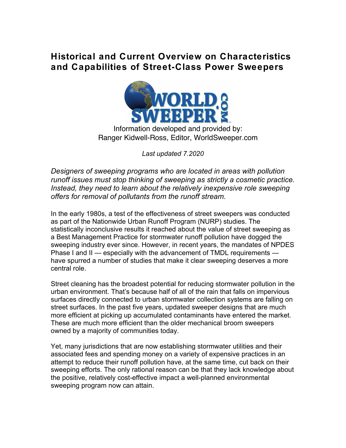### **Historical and Current Overview on Characteristics and Capabilities of Street-Class Power Sweepers**



Information developed and provided by: Ranger Kidwell-Ross, Editor, WorldSweeper.com

*Last updated 7.2020*

*Designers of sweeping programs who are located in areas with pollution runoff issues must stop thinking of sweeping as strictly a cosmetic practice. Instead, they need to learn about the relatively inexpensive role sweeping offers for removal of pollutants from the runoff stream.*

In the early 1980s, a test of the effectiveness of street sweepers was conducted as part of the Nationwide Urban Runoff Program (NURP) studies. The statistically inconclusive results it reached about the value of street sweeping as a Best Management Practice for stormwater runoff pollution have dogged the sweeping industry ever since. However, in recent years, the mandates of NPDES Phase I and II — especially with the advancement of TMDL requirements have spurred a number of studies that make it clear sweeping deserves a more central role.

Street cleaning has the broadest potential for reducing stormwater pollution in the urban environment. That's because half of all of the rain that falls on impervious surfaces directly connected to urban stormwater collection systems are falling on street surfaces. In the past five years, updated sweeper designs that are much more efficient at picking up accumulated contaminants have entered the market. These are much more efficient than the older mechanical broom sweepers owned by a majority of communities today.

Yet, many jurisdictions that are now establishing stormwater utilities and their associated fees and spending money on a variety of expensive practices in an attempt to reduce their runoff pollution have, at the same time, cut back on their sweeping efforts. The only rational reason can be that they lack knowledge about the positive, relatively cost-effective impact a well-planned environmental sweeping program now can attain.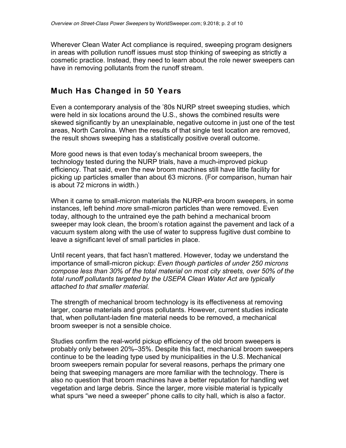Wherever Clean Water Act compliance is required, sweeping program designers in areas with pollution runoff issues must stop thinking of sweeping as strictly a cosmetic practice. Instead, they need to learn about the role newer sweepers can have in removing pollutants from the runoff stream.

#### **Much Has Changed in 50 Years**

Even a contemporary analysis of the '80s NURP street sweeping studies, which were held in six locations around the U.S., shows the combined results were skewed significantly by an unexplainable, negative outcome in just one of the test areas, North Carolina. When the results of that single test location are removed, the result shows sweeping has a statistically positive overall outcome.

More good news is that even today's mechanical broom sweepers, the technology tested during the NURP trials, have a much-improved pickup efficiency. That said, even the new broom machines still have little facility for picking up particles smaller than about 63 microns. (For comparison, human hair is about 72 microns in width.)

When it came to small-micron materials the NURP-era broom sweepers, in some instances, left behind *more* small-micron particles than were removed. Even today, although to the untrained eye the path behind a mechanical broom sweeper may look clean, the broom's rotation against the pavement and lack of a vacuum system along with the use of water to suppress fugitive dust combine to leave a significant level of small particles in place.

Until recent years, that fact hasn't mattered. However, today we understand the importance of small-micron pickup: *Even though particles of under 250 microns compose less than 30% of the total material on most city streets, over 50% of the total runoff pollutants targeted by the USEPA Clean Water Act are typically attached to that smaller material.*

The strength of mechanical broom technology is its effectiveness at removing larger, coarse materials and gross pollutants. However, current studies indicate that, when pollutant-laden fine material needs to be removed, a mechanical broom sweeper is not a sensible choice.

Studies confirm the real-world pickup efficiency of the old broom sweepers is probably only between 20%–35%. Despite this fact, mechanical broom sweepers continue to be the leading type used by municipalities in the U.S. Mechanical broom sweepers remain popular for several reasons, perhaps the primary one being that sweeping managers are more familiar with the technology. There is also no question that broom machines have a better reputation for handling wet vegetation and large debris. Since the larger, more visible material is typically what spurs "we need a sweeper" phone calls to city hall, which is also a factor.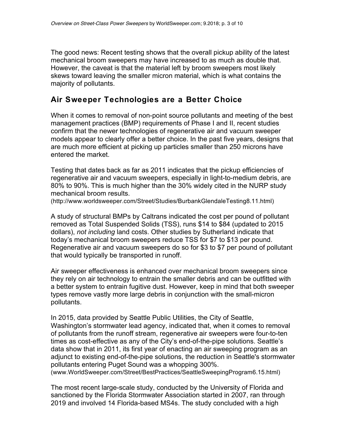The good news: Recent testing shows that the overall pickup ability of the latest mechanical broom sweepers may have increased to as much as double that. However, the caveat is that the material left by broom sweepers most likely skews toward leaving the smaller micron material, which is what contains the majority of pollutants.

#### **Air Sweeper Technologies are a Better Choice**

When it comes to removal of non-point source pollutants and meeting of the best management practices (BMP) requirements of Phase I and II, recent studies confirm that the newer technologies of regenerative air and vacuum sweeper models appear to clearly offer a better choice. In the past five years, designs that are much more efficient at picking up particles smaller than 250 microns have entered the market.

Testing that dates back as far as 2011 indicates that the pickup efficiencies of regenerative air and vacuum sweepers, especially in light-to-medium debris, are 80% to 90%. This is much higher than the 30% widely cited in the NURP study mechanical broom results.

(http://www.worldsweeper.com/Street/Studies/BurbankGlendaleTesting8.11.html)

A study of structural BMPs by Caltrans indicated the cost per pound of pollutant removed as Total Suspended Solids (TSS), runs \$14 to \$84 (updated to 2015 dollars), *not including* land costs. Other studies by Sutherland indicate that today's mechanical broom sweepers reduce TSS for \$7 to \$13 per pound. Regenerative air and vacuum sweepers do so for \$3 to \$7 per pound of pollutant that would typically be transported in runoff.

Air sweeper effectiveness is enhanced over mechanical broom sweepers since they rely on air technology to entrain the smaller debris and can be outfitted with a better system to entrain fugitive dust. However, keep in mind that both sweeper types remove vastly more large debris in conjunction with the small-micron pollutants.

In 2015, data provided by Seattle Public Utilities, the City of Seattle, Washington's stormwater lead agency, indicated that, when it comes to removal of pollutants from the runoff stream, regenerative air sweepers were four-to-ten times as cost-effective as any of the City's end-of-the-pipe solutions. Seattle's data show that in 2011, its first year of enacting an air sweeping program as an adjunct to existing end-of-the-pipe solutions, the reduction in Seattle's stormwater pollutants entering Puget Sound was a whopping 300%. (www.WorldSweeper.com/Street/BestPractices/SeattleSweepingProgram6.15.html)

The most recent large-scale study, conducted by the University of Florida and

sanctioned by the Florida Stormwater Association started in 2007, ran through 2019 and involved 14 Florida-based MS4s. The study concluded with a high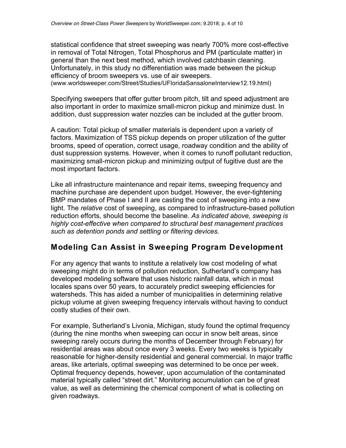statistical confidence that street sweeping was nearly 700% more cost-effective in removal of Total Nitrogen, Total Phosphorus and PM (particulate matter) in general than the next best method, which involved catchbasin cleaning. Unfortunately, in this study no differentiation was made between the pickup efficiency of broom sweepers vs. use of air sweepers.

(www.worldsweeper.com/Street/Studies/UFloridaSansaloneInterview12.19.html)

Specifying sweepers that offer gutter broom pitch, tilt and speed adjustment are also important in order to maximize small-micron pickup and minimize dust. In addition, dust suppression water nozzles can be included at the gutter broom.

A caution: Total pickup of smaller materials is dependent upon a variety of factors. Maximization of TSS pickup depends on proper utilization of the gutter brooms, speed of operation, correct usage, roadway condition and the ability of dust suppression systems. However, when it comes to runoff pollutant reduction, maximizing small-micron pickup and minimizing output of fugitive dust are the most important factors.

Like all infrastructure maintenance and repair items, sweeping frequency and machine purchase are dependent upon budget. However, the ever-tightening BMP mandates of Phase I and II are casting the cost of sweeping into a new light. The *relative* cost of sweeping, as compared to infrastructure-based pollution reduction efforts, should become the baseline. *As indicated above, sweeping is highly cost-effective when compared to structural best management practices such as detention ponds and settling or filtering devices.*

#### **Modeling Can Assist in Sweeping Program Development**

For any agency that wants to institute a relatively low cost modeling of what sweeping might do in terms of pollution reduction, Sutherland's company has developed modeling software that uses historic rainfall data, which in most locales spans over 50 years, to accurately predict sweeping efficiencies for watersheds. This has aided a number of municipalities in determining relative pickup volume at given sweeping frequency intervals without having to conduct costly studies of their own.

For example, Sutherland's Livonia, Michigan, study found the optimal frequency (during the nine months when sweeping can occur in snow belt areas, since sweeping rarely occurs during the months of December through February) for residential areas was about once every 3 weeks. Every two weeks is typically reasonable for higher-density residential and general commercial. In major traffic areas, like arterials, optimal sweeping was determined to be once per week. Optimal frequency depends, however, upon accumulation of the contaminated material typically called "street dirt." Monitoring accumulation can be of great value, as well as determining the chemical component of what is collecting on given roadways.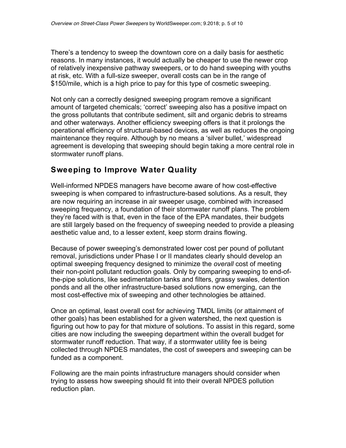There's a tendency to sweep the downtown core on a daily basis for aesthetic reasons. In many instances, it would actually be cheaper to use the newer crop of relatively inexpensive pathway sweepers, or to do hand sweeping with youths at risk, etc. With a full-size sweeper, overall costs can be in the range of \$150/mile, which is a high price to pay for this type of cosmetic sweeping.

Not only can a correctly designed sweeping program remove a significant amount of targeted chemicals; 'correct' sweeping also has a positive impact on the gross pollutants that contribute sediment, silt and organic debris to streams and other waterways. Another efficiency sweeping offers is that it prolongs the operational efficiency of structural-based devices, as well as reduces the ongoing maintenance they require. Although by no means a 'silver bullet,' widespread agreement is developing that sweeping should begin taking a more central role in stormwater runoff plans.

#### **Sweeping to Improve Water Quality**

Well-informed NPDES managers have become aware of how cost-effective sweeping is when compared to infrastructure-based solutions. As a result, they are now requiring an increase in air sweeper usage, combined with increased sweeping frequency, a foundation of their stormwater runoff plans. The problem they're faced with is that, even in the face of the EPA mandates, their budgets are still largely based on the frequency of sweeping needed to provide a pleasing aesthetic value and, to a lesser extent, keep storm drains flowing.

Because of power sweeping's demonstrated lower cost per pound of pollutant removal, jurisdictions under Phase I or II mandates clearly should develop an optimal sweeping frequency designed to minimize the *overall* cost of meeting their non-point pollutant reduction goals. Only by comparing sweeping to end-ofthe-pipe solutions, like sedimentation tanks and filters, grassy swales, detention ponds and all the other infrastructure-based solutions now emerging, can the most cost-effective mix of sweeping and other technologies be attained.

Once an optimal, least overall cost for achieving TMDL limits (or attainment of other goals) has been established for a given watershed, the next question is figuring out how to pay for that mixture of solutions. To assist in this regard, some cities are now including the sweeping department within the overall budget for stormwater runoff reduction. That way, if a stormwater utility fee is being collected through NPDES mandates, the cost of sweepers and sweeping can be funded as a component.

Following are the main points infrastructure managers should consider when trying to assess how sweeping should fit into their overall NPDES pollution reduction plan.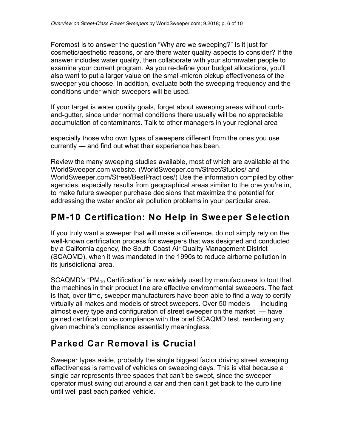Foremost is to answer the question "Why are we sweeping?" Is it just for cosmetic/aesthetic reasons, or are there water quality aspects to consider? If the answer includes water quality, then collaborate with your stormwater people to examine your current program. As you re-define your budget allocations, you'll also want to put a larger value on the small-micron pickup effectiveness of the sweeper you choose. In addition, evaluate both the sweeping frequency and the conditions under which sweepers will be used.

If your target is water quality goals, forget about sweeping areas without curband-gutter, since under normal conditions there usually will be no appreciable accumulation of contaminants. Talk to other managers in your regional area —

especially those who own types of sweepers different from the ones you use currently — and find out what their experience has been.

Review the many sweeping studies available, most of which are available at the WorldSweeper.com website. (WorldSweeper.com/Street/Studies/ and WorldSweeper.com/Street/BestPractices/) Use the information compiled by other agencies, especially results from geographical areas similar to the one you're in, to make future sweeper purchase decisions that maximize the potential for addressing the water and/or air pollution problems in your particular area.

# **PM-10 Certification: No Help in Sweeper Selection**

If you truly want a sweeper that will make a difference, do not simply rely on the well-known certification process for sweepers that was designed and conducted by a California agency, the South Coast Air Quality Management District (SCAQMD), when it was mandated in the 1990s to reduce airborne pollution in its jurisdictional area.

SCAQMD's "PM<sub>10</sub> Certification" is now widely used by manufacturers to tout that the machines in their product line are effective environmental sweepers. The fact is that, over time, sweeper manufacturers have been able to find a way to certify virtually all makes and models of street sweepers. Over 50 models — including almost every type and configuration of street sweeper on the market — have gained certification via compliance with the brief SCAQMD test, rendering any given machine's compliance essentially meaningless.

# **Parked Car Removal is Crucial**

Sweeper types aside, probably the single biggest factor driving street sweeping effectiveness is removal of vehicles on sweeping days. This is vital because a single car represents three spaces that can't be swept, since the sweeper operator must swing out around a car and then can't get back to the curb line until well past each parked vehicle.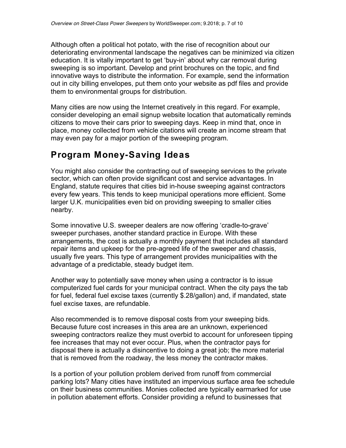Although often a political hot potato, with the rise of recognition about our deteriorating environmental landscape the negatives can be minimized via citizen education. It is vitally important to get 'buy-in' about why car removal during sweeping is so important. Develop and print brochures on the topic, and find innovative ways to distribute the information. For example, send the information out in city billing envelopes, put them onto your website as pdf files and provide them to environmental groups for distribution.

Many cities are now using the Internet creatively in this regard. For example, consider developing an email signup website location that automatically reminds citizens to move their cars prior to sweeping days. Keep in mind that, once in place, money collected from vehicle citations will create an income stream that may even pay for a major portion of the sweeping program.

## **Program Money-Saving Ideas**

You might also consider the contracting out of sweeping services to the private sector, which can often provide significant cost and service advantages. In England, statute requires that cities bid in-house sweeping against contractors every few years. This tends to keep municipal operations more efficient. Some larger U.K. municipalities even bid on providing sweeping to smaller cities nearby.

Some innovative U.S. sweeper dealers are now offering 'cradle-to-grave' sweeper purchases, another standard practice in Europe. With these arrangements, the cost is actually a monthly payment that includes all standard repair items and upkeep for the pre-agreed life of the sweeper and chassis, usually five years. This type of arrangement provides municipalities with the advantage of a predictable, steady budget item.

Another way to potentially save money when using a contractor is to issue computerized fuel cards for your municipal contract. When the city pays the tab for fuel, federal fuel excise taxes (currently \$.28/gallon) and, if mandated, state fuel excise taxes, are refundable.

Also recommended is to remove disposal costs from your sweeping bids. Because future cost increases in this area are an unknown, experienced sweeping contractors realize they must overbid to account for unforeseen tipping fee increases that may not ever occur. Plus, when the contractor pays for disposal there is actually a disincentive to doing a great job; the more material that is removed from the roadway, the less money the contractor makes.

Is a portion of your pollution problem derived from runoff from commercial parking lots? Many cities have instituted an impervious surface area fee schedule on their business communities. Monies collected are typically earmarked for use in pollution abatement efforts. Consider providing a refund to businesses that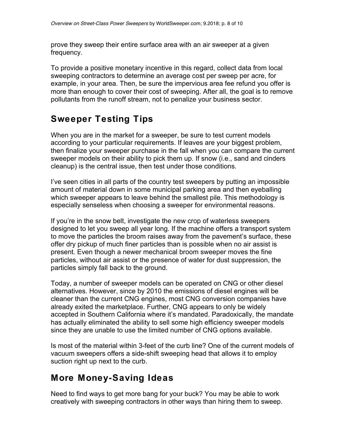prove they sweep their entire surface area with an air sweeper at a given frequency.

To provide a positive monetary incentive in this regard, collect data from local sweeping contractors to determine an average cost per sweep per acre, for example, in your area. Then, be sure the impervious area fee refund you offer is more than enough to cover their cost of sweeping. After all, the goal is to remove pollutants from the runoff stream, not to penalize your business sector.

# **Sweeper Testing Tips**

When you are in the market for a sweeper, be sure to test current models according to your particular requirements. If leaves are your biggest problem, then finalize your sweeper purchase in the fall when you can compare the current sweeper models on their ability to pick them up. If snow (i.e., sand and cinders cleanup) is the central issue, then test under those conditions.

I've seen cities in all parts of the country test sweepers by putting an impossible amount of material down in some municipal parking area and then eyeballing which sweeper appears to leave behind the smallest pile. This methodology is especially senseless when choosing a sweeper for environmental reasons.

If you're in the snow belt, investigate the new crop of waterless sweepers designed to let you sweep all year long. If the machine offers a transport system to move the particles the broom raises away from the pavement's surface, these offer dry pickup of much finer particles than is possible when no air assist is present. Even though a newer mechanical broom sweeper moves the fine particles, without air assist or the presence of water for dust suppression, the particles simply fall back to the ground.

Today, a number of sweeper models can be operated on CNG or other diesel alternatives. However, since by 2010 the emissions of diesel engines will be cleaner than the current CNG engines, most CNG conversion companies have already exited the marketplace. Further, CNG appears to only be widely accepted in Southern California where it's mandated. Paradoxically, the mandate has actually eliminated the ability to sell some high efficiency sweeper models since they are unable to use the limited number of CNG options available.

Is most of the material within 3-feet of the curb line? One of the current models of vacuum sweepers offers a side-shift sweeping head that allows it to employ suction right up next to the curb.

### **More Money-Saving Ideas**

Need to find ways to get more bang for your buck? You may be able to work creatively with sweeping contractors in other ways than hiring them to sweep.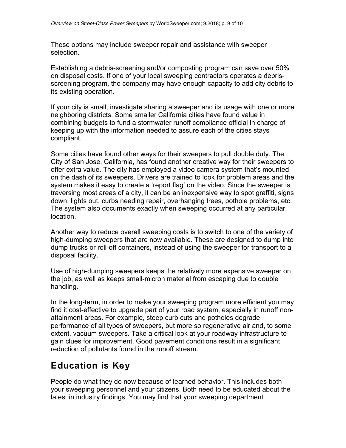These options may include sweeper repair and assistance with sweeper selection.

Establishing a debris-screening and/or composting program can save over 50% on disposal costs. If one of your local sweeping contractors operates a debrisscreening program, the company may have enough capacity to add city debris to its existing operation.

If your city is small, investigate sharing a sweeper and its usage with one or more neighboring districts. Some smaller California cities have found value in combining budgets to fund a stormwater runoff compliance official in charge of keeping up with the information needed to assure each of the cities stays compliant.

Some cities have found other ways for their sweepers to pull double duty. The City of San Jose, California, has found another creative way for their sweepers to offer extra value. The city has employed a video camera system that's mounted on the dash of its sweepers. Drivers are trained to look for problem areas and the system makes it easy to create a 'report flag' on the video. Since the sweeper is traversing most areas of a city, it can be an inexpensive way to spot graffiti, signs down, lights out, curbs needing repair, overhanging trees, pothole problems, etc. The system also documents exactly when sweeping occurred at any particular location.

Another way to reduce overall sweeping costs is to switch to one of the variety of high-dumping sweepers that are now available. These are designed to dump into dump trucks or roll-off containers, instead of using the sweeper for transport to a disposal facility.

Use of high-dumping sweepers keeps the relatively more expensive sweeper on the job, as well as keeps small-micron material from escaping due to double handling.

In the long-term, in order to make your sweeping program more efficient you may find it cost-effective to upgrade part of your road system, especially in runoff nonattainment areas. For example, steep curb cuts and potholes degrade performance of all types of sweepers, but more so regenerative air and, to some extent, vacuum sweepers. Take a critical look at your roadway infrastructure to gain clues for improvement. Good pavement conditions result in a significant reduction of pollutants found in the runoff stream.

## **Education is Key**

People do what they do now because of learned behavior. This includes both your sweeping personnel and your citizens. Both need to be educated about the latest in industry findings. You may find that your sweeping department